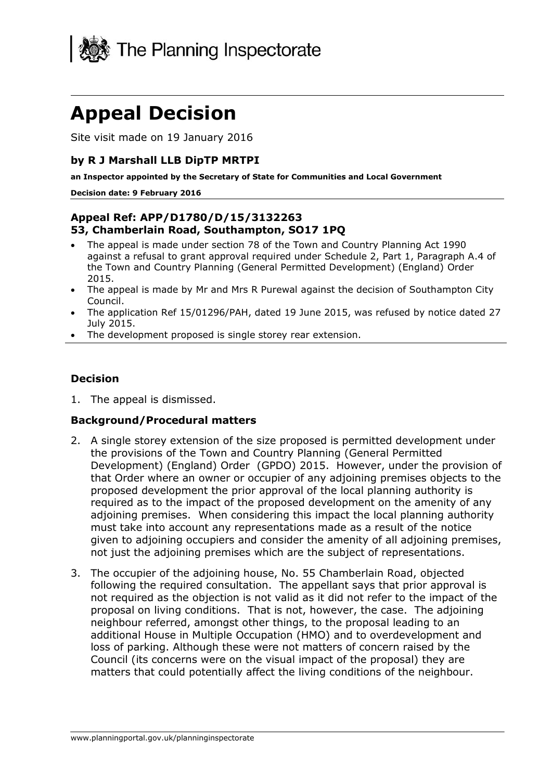

# **Appeal Decision**

Site visit made on 19 January 2016

#### **by R J Marshall LLB DipTP MRTPI**

**an Inspector appointed by the Secretary of State for Communities and Local Government**

#### **Decision date: 9 February 2016**

### **Appeal Ref: APP/D1780/D/15/3132263 53, Chamberlain Road, Southampton, SO17 1PQ**

- The appeal is made under section 78 of the Town and Country Planning Act 1990 against a refusal to grant approval required under Schedule 2, Part 1, Paragraph A.4 of the Town and Country Planning (General Permitted Development) (England) Order 2015.
- The appeal is made by Mr and Mrs R Purewal against the decision of Southampton City Council.
- The application Ref 15/01296/PAH, dated 19 June 2015, was refused by notice dated 27 July 2015.
- The development proposed is single storey rear extension.

#### **Decision**

1. The appeal is dismissed.

### **Background/Procedural matters**

- 2. A single storey extension of the size proposed is permitted development under the provisions of the Town and Country Planning (General Permitted Development) (England) Order (GPDO) 2015. However, under the provision of that Order where an owner or occupier of any adjoining premises objects to the proposed development the prior approval of the local planning authority is required as to the impact of the proposed development on the amenity of any adjoining premises. When considering this impact the local planning authority must take into account any representations made as a result of the notice given to adjoining occupiers and consider the amenity of all adjoining premises, not just the adjoining premises which are the subject of representations.
- 3. The occupier of the adjoining house, No. 55 Chamberlain Road, objected following the required consultation. The appellant says that prior approval is not required as the objection is not valid as it did not refer to the impact of the proposal on living conditions. That is not, however, the case. The adjoining neighbour referred, amongst other things, to the proposal leading to an additional House in Multiple Occupation (HMO) and to overdevelopment and loss of parking. Although these were not matters of concern raised by the Council (its concerns were on the visual impact of the proposal) they are matters that could potentially affect the living conditions of the neighbour.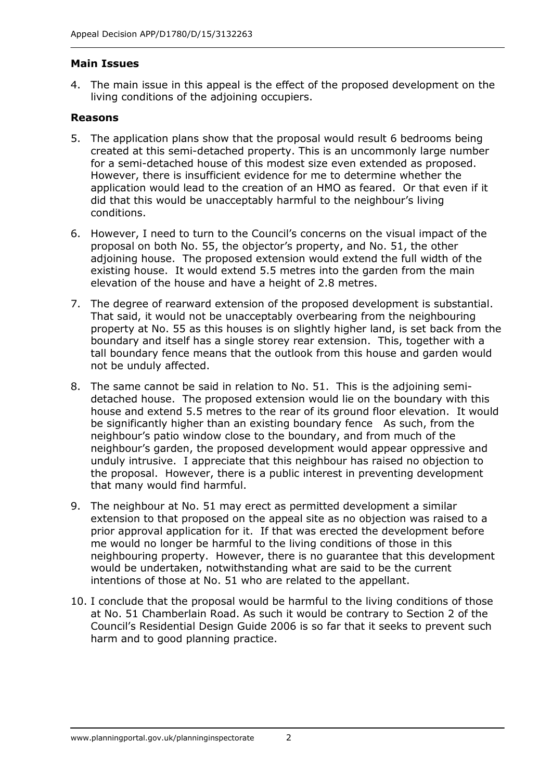#### **Main Issues**

4. The main issue in this appeal is the effect of the proposed development on the living conditions of the adjoining occupiers.

#### **Reasons**

- 5. The application plans show that the proposal would result 6 bedrooms being created at this semi-detached property. This is an uncommonly large number for a semi-detached house of this modest size even extended as proposed. However, there is insufficient evidence for me to determine whether the application would lead to the creation of an HMO as feared. Or that even if it did that this would be unacceptably harmful to the neighbour's living conditions.
- 6. However, I need to turn to the Council's concerns on the visual impact of the proposal on both No. 55, the objector's property, and No. 51, the other adjoining house. The proposed extension would extend the full width of the existing house. It would extend 5.5 metres into the garden from the main elevation of the house and have a height of 2.8 metres.
- 7. The degree of rearward extension of the proposed development is substantial. That said, it would not be unacceptably overbearing from the neighbouring property at No. 55 as this houses is on slightly higher land, is set back from the boundary and itself has a single storey rear extension. This, together with a tall boundary fence means that the outlook from this house and garden would not be unduly affected.
- 8. The same cannot be said in relation to No. 51. This is the adjoining semidetached house. The proposed extension would lie on the boundary with this house and extend 5.5 metres to the rear of its ground floor elevation. It would be significantly higher than an existing boundary fence As such, from the neighbour's patio window close to the boundary, and from much of the neighbour's garden, the proposed development would appear oppressive and unduly intrusive. I appreciate that this neighbour has raised no objection to the proposal. However, there is a public interest in preventing development that many would find harmful.
- 9. The neighbour at No. 51 may erect as permitted development a similar extension to that proposed on the appeal site as no objection was raised to a prior approval application for it. If that was erected the development before me would no longer be harmful to the living conditions of those in this neighbouring property. However, there is no guarantee that this development would be undertaken, notwithstanding what are said to be the current intentions of those at No. 51 who are related to the appellant.
- 10. I conclude that the proposal would be harmful to the living conditions of those at No. 51 Chamberlain Road. As such it would be contrary to Section 2 of the Council's Residential Design Guide 2006 is so far that it seeks to prevent such harm and to good planning practice.